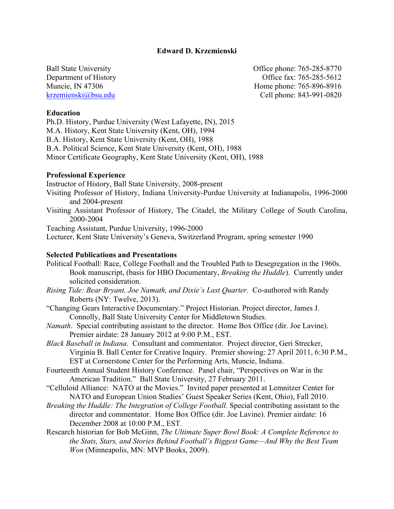## **Edward D. Krzemienski**

Ball State University Office phone: 765-285-8770 Department of History Office fax: 765-285-5612 Muncie, IN 47306 Home phone: 765-896-8916 krzemienski@bsu.edu Cell phone: 843-991-0820

### **Education**

Ph.D. History, Purdue University (West Lafayette, IN), 2015 M.A. History, Kent State University (Kent, OH), 1994 B.A. History, Kent State University (Kent, OH), 1988 B.A. Political Science, Kent State University (Kent, OH), 1988 Minor Certificate Geography, Kent State University (Kent, OH), 1988

#### **Professional Experience**

Instructor of History, Ball State University, 2008-present

- Visiting Professor of History, Indiana University-Purdue University at Indianapolis, 1996-2000 and 2004-present
- Visiting Assistant Professor of History, The Citadel, the Military College of South Carolina, 2000-2004

Teaching Assistant, Purdue University, 1996-2000

Lecturer, Kent State University's Geneva, Switzerland Program, spring semester 1990

### **Selected Publications and Presentations**

- Political Football: Race, College Football and the Troubled Path to Desegregation in the 1960s. Book manuscript, (basis for HBO Documentary, *Breaking the Huddle*). Currently under solicited consideration.
- *Rising Tide: Bear Bryant, Joe Namath, and Dixie's Last Quarter.* Co-authored with Randy Roberts (NY: Twelve, 2013).
- "Changing Gears Interactive Documentary." Project Historian. Project director, James J. Connolly, Ball State University Center for Middletown Studies.
- *Namath*. Special contributing assistant to the director. Home Box Office (dir. Joe Lavine). Premier airdate: 28 January 2012 at 9:00 P.M., EST.
- *Black Baseball in Indiana*. Consultant and commentator. Project director, Geri Strecker, Virginia B. Ball Center for Creative Inquiry. Premier showing: 27 April 2011, 6:30 P.M., EST at Cornerstone Center for the Performing Arts, Muncie, Indiana.
- Fourteenth Annual Student History Conference. Panel chair, "Perspectives on War in the American Tradition." Ball State University, 27 February 2011.
- "Celluloid Alliance: NATO at the Movies." Invited paper presented at Lemnitzer Center for NATO and European Union Studies' Guest Speaker Series (Kent, Ohio), Fall 2010.
- *Breaking the Huddle: The Integration of College Football.* Special contributing assistant to the director and commentator. Home Box Office (dir. Joe Lavine). Premier airdate: 16 December 2008 at 10:00 P.M., EST.
- Research historian for Bob McGinn, *The Ultimate Super Bowl Book: A Complete Reference to the Stats, Stars, and Stories Behind Football's Biggest Game—And Why the Best Team Won* (Minneapolis, MN: MVP Books, 2009).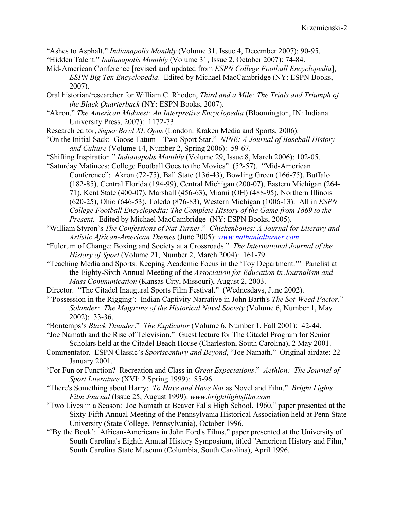"Ashes to Asphalt." *Indianapolis Monthly* (Volume 31, Issue 4, December 2007): 90-95. "Hidden Talent." *Indianapolis Monthly* (Volume 31, Issue 2, October 2007): 74-84.

- Mid-American Conference [revised and updated from *ESPN College Football Encyclopedia*], *ESPN Big Ten Encyclopedia*. Edited by Michael MacCambridge (NY: ESPN Books, 2007).
- Oral historian/researcher for William C. Rhoden, *Third and a Mile: The Trials and Triumph of the Black Quarterback* (NY: ESPN Books, 2007).
- "Akron." *The American Midwest: An Interpretive Encyclopedia* (Bloomington, IN: Indiana University Press, 2007): 1172-73.

Research editor, *Super Bowl XL Opus* (London: Kraken Media and Sports, 2006).

- "On the Initial Sack: Goose Tatum—Two-Sport Star." *NINE: A Journal of Baseball History and Culture* (Volume 14, Number 2, Spring 2006): 59-67.
- "Shifting Inspiration." *Indianapolis Monthly* (Volume 29, Issue 8, March 2006): 102-05.

"Saturday Matinees: College Football Goes to the Movies" (52-57). "Mid-American Conference": Akron (72-75), Ball State (136-43), Bowling Green (166-75), Buffalo (182-85), Central Florida (194-99), Central Michigan (200-07), Eastern Michigan (264- 71), Kent State (400-07), Marshall (456-63), Miami (OH) (488-95), Northern Illinois (620-25), Ohio (646-53), Toledo (876-83), Western Michigan (1006-13). All in *ESPN College Football Encyclopedia: The Complete History of the Game from 1869 to the Present.* Edited by Michael MacCambridge (NY: ESPN Books, 2005).

- "William Styron's *The Confessions of Nat Turner*." *Chickenbones: A Journal for Literary and Artistic African-American Themes* (June 2005): *www.nathanialturner.com*
- "Fulcrum of Change: Boxing and Society at a Crossroads." *The International Journal of the History of Sport* (Volume 21, Number 2, March 2004): 161-79.
- "Teaching Media and Sports: Keeping Academic Focus in the 'Toy Department.'" Panelist at the Eighty-Sixth Annual Meeting of the *Association for Education in Journalism and Mass Communication* (Kansas City, Missouri), August 2, 2003.
- Director. "The Citadel Inaugural Sports Film Festival." (Wednesdays, June 2002).
- "'Possession in the Rigging': Indian Captivity Narrative in John Barth's *The Sot-Weed Factor*." *Solander: The Magazine of the Historical Novel Society* (Volume 6, Number 1, May 2002): 33-36.
- "Bontemps's *Black Thunder*." *The Explicator* (Volume 6, Number 1, Fall 2001): 42-44.
- "Joe Namath and the Rise of Television." Guest lecture for The Citadel Program for Senior Scholars held at the Citadel Beach House (Charleston, South Carolina), 2 May 2001.
- Commentator. ESPN Classic's *Sportscentury and Beyond*, "Joe Namath." Original airdate: 22 January 2001.
- "For Fun or Function? Recreation and Class in *Great Expectations*." *Aethlon: The Journal of Sport Literature* (XVI: 2 Spring 1999): 85-96.
- "There's Something about Harry: *To Have and Have Not* as Novel and Film." *Bright Lights Film Journal* (Issue 25, August 1999): *www.brightlightsfilm.com*
- "Two Lives in a Season: Joe Namath at Beaver Falls High School, 1960," paper presented at the Sixty-Fifth Annual Meeting of the Pennsylvania Historical Association held at Penn State University (State College, Pennsylvania), October 1996.
- "'By the Book': African-Americans in John Ford's Films," paper presented at the University of South Carolina's Eighth Annual History Symposium, titled "American History and Film," South Carolina State Museum (Columbia, South Carolina), April 1996.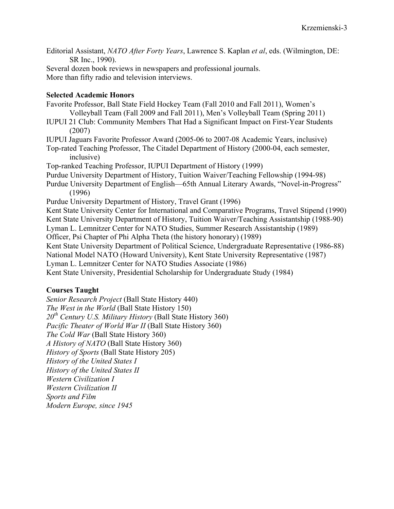- Editorial Assistant, *NATO After Forty Years*, Lawrence S. Kaplan *et al*, eds. (Wilmington, DE: SR Inc., 1990).
- Several dozen book reviews in newspapers and professional journals. More than fifty radio and television interviews.

## **Selected Academic Honors**

Favorite Professor, Ball State Field Hockey Team (Fall 2010 and Fall 2011), Women's Volleyball Team (Fall 2009 and Fall 2011), Men's Volleyball Team (Spring 2011) IUPUI 21 Club: Community Members That Had a Significant Impact on First-Year Students (2007) IUPUI Jaguars Favorite Professor Award (2005-06 to 2007-08 Academic Years, inclusive) Top-rated Teaching Professor, The Citadel Department of History (2000-04, each semester, inclusive) Top-ranked Teaching Professor, IUPUI Department of History (1999) Purdue University Department of History, Tuition Waiver/Teaching Fellowship (1994-98) Purdue University Department of English—65th Annual Literary Awards, "Novel-in-Progress" (1996) Purdue University Department of History, Travel Grant (1996) Kent State University Center for International and Comparative Programs, Travel Stipend (1990) Kent State University Department of History, Tuition Waiver/Teaching Assistantship (1988-90) Lyman L. Lemnitzer Center for NATO Studies, Summer Research Assistantship (1989) Officer, Psi Chapter of Phi Alpha Theta (the history honorary) (1989) Kent State University Department of Political Science, Undergraduate Representative (1986-88)

National Model NATO (Howard University), Kent State University Representative (1987)

Lyman L. Lemnitzer Center for NATO Studies Associate (1986)

Kent State University, Presidential Scholarship for Undergraduate Study (1984)

# **Courses Taught**

*Senior Research Project* (Ball State History 440) *The West in the World* (Ball State History 150) *20th Century U.S. Military History* (Ball State History 360) *Pacific Theater of World War II* (Ball State History 360) *The Cold War* (Ball State History 360) *A History of NATO* (Ball State History 360) *History of Sports* (Ball State History 205) *History of the United States I History of the United States II Western Civilization I Western Civilization II Sports and Film Modern Europe, since 1945*